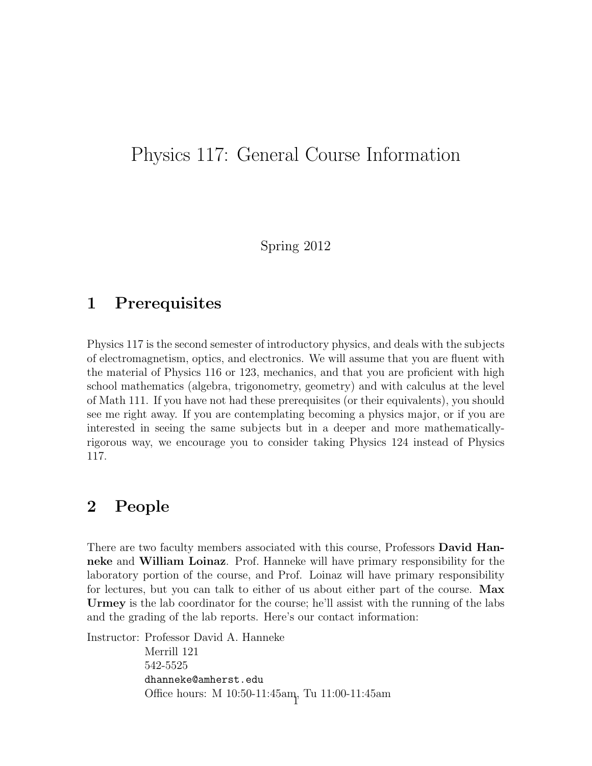## Physics 117: General Course Information

Spring 2012

#### 1 Prerequisites

Physics 117 is the second semester of introductory physics, and deals with the subjects of electromagnetism, optics, and electronics. We will assume that you are fluent with the material of Physics 116 or 123, mechanics, and that you are proficient with high school mathematics (algebra, trigonometry, geometry) and with calculus at the level of Math 111. If you have not had these prerequisites (or their equivalents), you should see me right away. If you are contemplating becoming a physics major, or if you are interested in seeing the same subjects but in a deeper and more mathematicallyrigorous way, we encourage you to consider taking Physics 124 instead of Physics 117.

#### 2 People

There are two faculty members associated with this course, Professors **David Han**neke and William Loinaz. Prof. Hanneke will have primary responsibility for the laboratory portion of the course, and Prof. Loinaz will have primary responsibility for lectures, but you can talk to either of us about either part of the course. Max Urmey is the lab coordinator for the course; he'll assist with the running of the labs and the grading of the lab reports. Here's our contact information:

Instructor: Professor David A. Hanneke Merrill 121 542-5525 dhanneke@amherst.edu Office hours: M 10:50-11:45am, Tu 11:00-11:45am <sup>1</sup>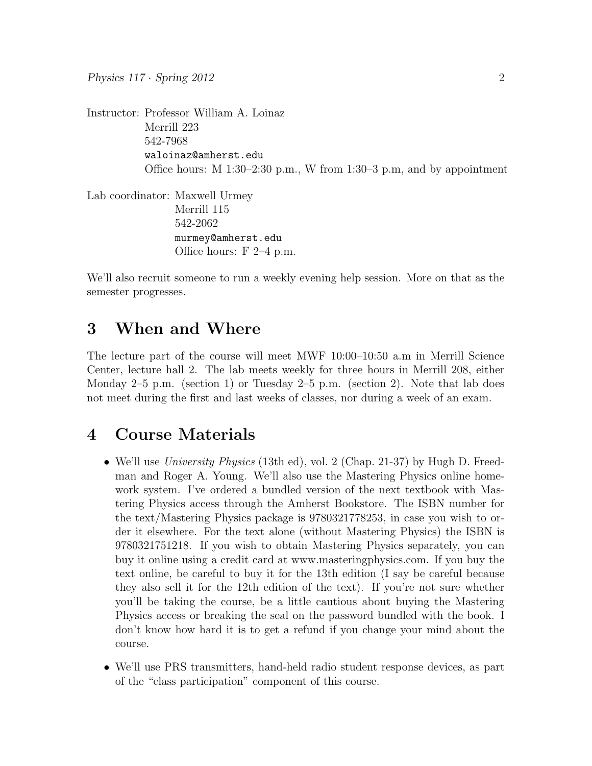Instructor: Professor William A. Loinaz Merrill 223 542-7968 waloinaz@amherst.edu Office hours:  $M$  1:30–2:30 p.m., W from 1:30–3 p.m, and by appointment Lab coordinator: Maxwell Urmey

Merrill 115 542-2062 murmey@amherst.edu Office hours: F 2–4 p.m.

We'll also recruit someone to run a weekly evening help session. More on that as the semester progresses.

#### 3 When and Where

The lecture part of the course will meet MWF 10:00–10:50 a.m in Merrill Science Center, lecture hall 2. The lab meets weekly for three hours in Merrill 208, either Monday  $2-5$  p.m. (section 1) or Tuesday  $2-5$  p.m. (section 2). Note that lab does not meet during the first and last weeks of classes, nor during a week of an exam.

#### 4 Course Materials

- We'll use *University Physics* (13th ed), vol. 2 (Chap. 21-37) by Hugh D. Freedman and Roger A. Young. We'll also use the Mastering Physics online homework system. I've ordered a bundled version of the next textbook with Mastering Physics access through the Amherst Bookstore. The ISBN number for the text/Mastering Physics package is 9780321778253, in case you wish to order it elsewhere. For the text alone (without Mastering Physics) the ISBN is 9780321751218. If you wish to obtain Mastering Physics separately, you can buy it online using a credit card at www.masteringphysics.com. If you buy the text online, be careful to buy it for the 13th edition (I say be careful because they also sell it for the 12th edition of the text). If you're not sure whether you'll be taking the course, be a little cautious about buying the Mastering Physics access or breaking the seal on the password bundled with the book. I don't know how hard it is to get a refund if you change your mind about the course.
- We'll use PRS transmitters, hand-held radio student response devices, as part of the "class participation" component of this course.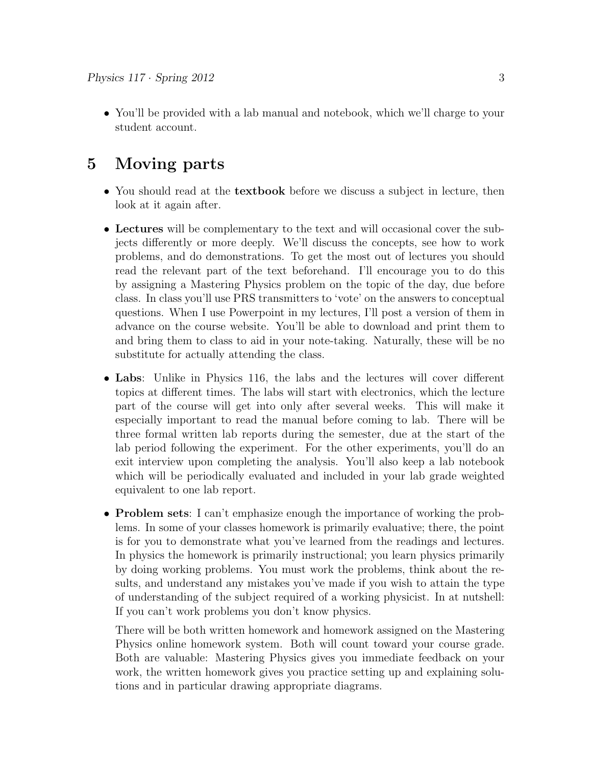• You'll be provided with a lab manual and notebook, which we'll charge to your student account.

#### 5 Moving parts

- You should read at the **textbook** before we discuss a subject in lecture, then look at it again after.
- Lectures will be complementary to the text and will occasional cover the subjects differently or more deeply. We'll discuss the concepts, see how to work problems, and do demonstrations. To get the most out of lectures you should read the relevant part of the text beforehand. I'll encourage you to do this by assigning a Mastering Physics problem on the topic of the day, due before class. In class you'll use PRS transmitters to 'vote' on the answers to conceptual questions. When I use Powerpoint in my lectures, I'll post a version of them in advance on the course website. You'll be able to download and print them to and bring them to class to aid in your note-taking. Naturally, these will be no substitute for actually attending the class.
- Labs: Unlike in Physics 116, the labs and the lectures will cover different topics at different times. The labs will start with electronics, which the lecture part of the course will get into only after several weeks. This will make it especially important to read the manual before coming to lab. There will be three formal written lab reports during the semester, due at the start of the lab period following the experiment. For the other experiments, you'll do an exit interview upon completing the analysis. You'll also keep a lab notebook which will be periodically evaluated and included in your lab grade weighted equivalent to one lab report.
- Problem sets: I can't emphasize enough the importance of working the problems. In some of your classes homework is primarily evaluative; there, the point is for you to demonstrate what you've learned from the readings and lectures. In physics the homework is primarily instructional; you learn physics primarily by doing working problems. You must work the problems, think about the results, and understand any mistakes you've made if you wish to attain the type of understanding of the subject required of a working physicist. In at nutshell: If you can't work problems you don't know physics.

There will be both written homework and homework assigned on the Mastering Physics online homework system. Both will count toward your course grade. Both are valuable: Mastering Physics gives you immediate feedback on your work, the written homework gives you practice setting up and explaining solutions and in particular drawing appropriate diagrams.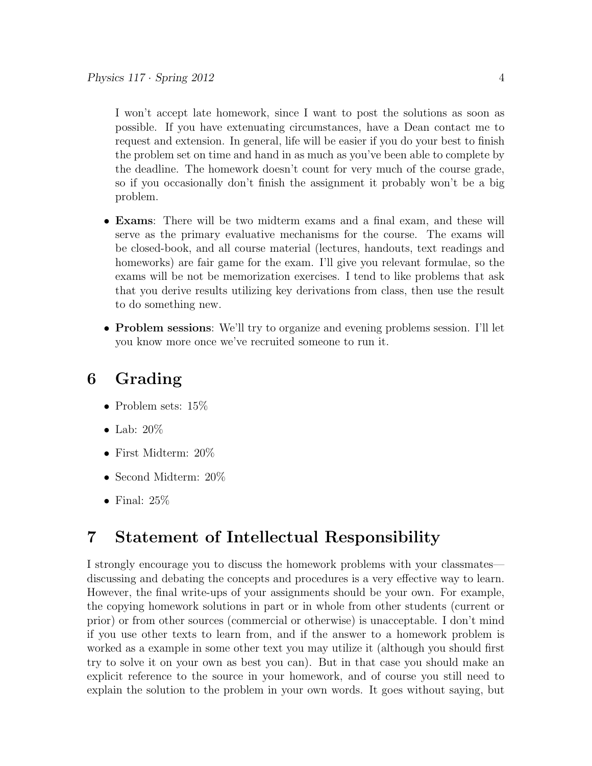I won't accept late homework, since I want to post the solutions as soon as possible. If you have extenuating circumstances, have a Dean contact me to request and extension. In general, life will be easier if you do your best to finish the problem set on time and hand in as much as you've been able to complete by the deadline. The homework doesn't count for very much of the course grade, so if you occasionally don't finish the assignment it probably won't be a big problem.

- Exams: There will be two midterm exams and a final exam, and these will serve as the primary evaluative mechanisms for the course. The exams will be closed-book, and all course material (lectures, handouts, text readings and homeworks) are fair game for the exam. I'll give you relevant formulae, so the exams will be not be memorization exercises. I tend to like problems that ask that you derive results utilizing key derivations from class, then use the result to do something new.
- Problem sessions: We'll try to organize and evening problems session. I'll let you know more once we've recruited someone to run it.

### 6 Grading

- Problem sets:  $15\%$
- Lab:  $20\%$
- First Midterm: 20%
- Second Midterm: 20%
- Final:  $25\%$

### 7 Statement of Intellectual Responsibility

I strongly encourage you to discuss the homework problems with your classmates discussing and debating the concepts and procedures is a very effective way to learn. However, the final write-ups of your assignments should be your own. For example, the copying homework solutions in part or in whole from other students (current or prior) or from other sources (commercial or otherwise) is unacceptable. I don't mind if you use other texts to learn from, and if the answer to a homework problem is worked as a example in some other text you may utilize it (although you should first try to solve it on your own as best you can). But in that case you should make an explicit reference to the source in your homework, and of course you still need to explain the solution to the problem in your own words. It goes without saying, but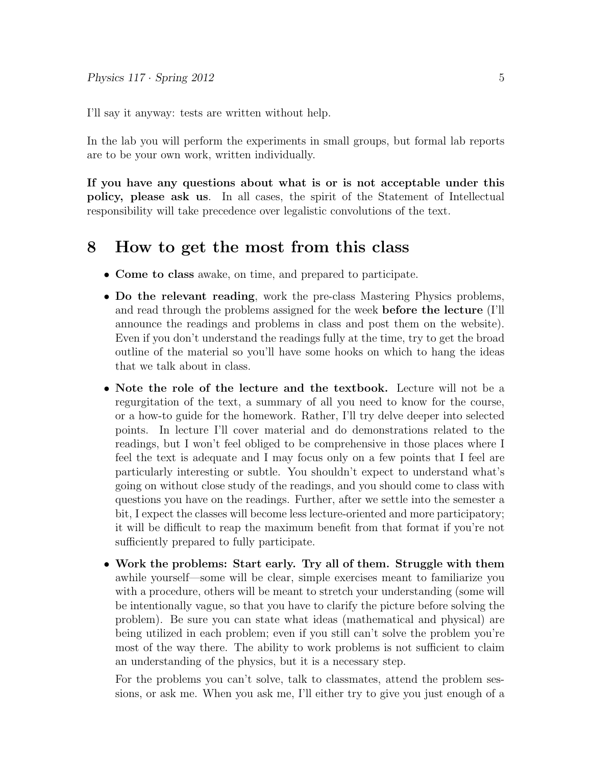I'll say it anyway: tests are written without help.

In the lab you will perform the experiments in small groups, but formal lab reports are to be your own work, written individually.

If you have any questions about what is or is not acceptable under this policy, please ask us. In all cases, the spirit of the Statement of Intellectual responsibility will take precedence over legalistic convolutions of the text.

#### 8 How to get the most from this class

- Come to class awake, on time, and prepared to participate.
- Do the relevant reading, work the pre-class Mastering Physics problems, and read through the problems assigned for the week before the lecture (I'll announce the readings and problems in class and post them on the website). Even if you don't understand the readings fully at the time, try to get the broad outline of the material so you'll have some hooks on which to hang the ideas that we talk about in class.
- Note the role of the lecture and the textbook. Lecture will not be a regurgitation of the text, a summary of all you need to know for the course, or a how-to guide for the homework. Rather, I'll try delve deeper into selected points. In lecture I'll cover material and do demonstrations related to the readings, but I won't feel obliged to be comprehensive in those places where I feel the text is adequate and I may focus only on a few points that I feel are particularly interesting or subtle. You shouldn't expect to understand what's going on without close study of the readings, and you should come to class with questions you have on the readings. Further, after we settle into the semester a bit, I expect the classes will become less lecture-oriented and more participatory; it will be difficult to reap the maximum benefit from that format if you're not sufficiently prepared to fully participate.
- Work the problems: Start early. Try all of them. Struggle with them awhile yourself—some will be clear, simple exercises meant to familiarize you with a procedure, others will be meant to stretch your understanding (some will be intentionally vague, so that you have to clarify the picture before solving the problem). Be sure you can state what ideas (mathematical and physical) are being utilized in each problem; even if you still can't solve the problem you're most of the way there. The ability to work problems is not sufficient to claim an understanding of the physics, but it is a necessary step.

For the problems you can't solve, talk to classmates, attend the problem sessions, or ask me. When you ask me, I'll either try to give you just enough of a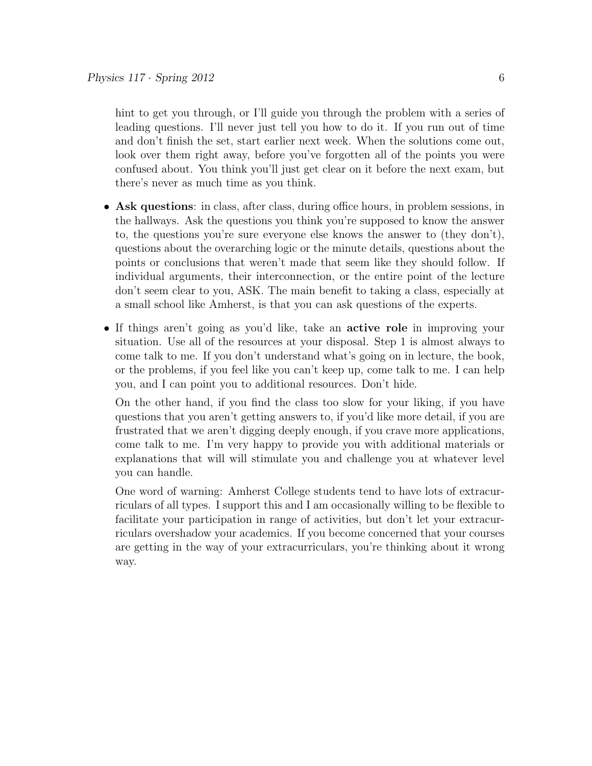hint to get you through, or I'll guide you through the problem with a series of leading questions. I'll never just tell you how to do it. If you run out of time and don't finish the set, start earlier next week. When the solutions come out, look over them right away, before you've forgotten all of the points you were confused about. You think you'll just get clear on it before the next exam, but there's never as much time as you think.

- Ask questions: in class, after class, during office hours, in problem sessions, in the hallways. Ask the questions you think you're supposed to know the answer to, the questions you're sure everyone else knows the answer to (they don't), questions about the overarching logic or the minute details, questions about the points or conclusions that weren't made that seem like they should follow. If individual arguments, their interconnection, or the entire point of the lecture don't seem clear to you, ASK. The main benefit to taking a class, especially at a small school like Amherst, is that you can ask questions of the experts.
- If things aren't going as you'd like, take an active role in improving your situation. Use all of the resources at your disposal. Step 1 is almost always to come talk to me. If you don't understand what's going on in lecture, the book, or the problems, if you feel like you can't keep up, come talk to me. I can help you, and I can point you to additional resources. Don't hide.

On the other hand, if you find the class too slow for your liking, if you have questions that you aren't getting answers to, if you'd like more detail, if you are frustrated that we aren't digging deeply enough, if you crave more applications, come talk to me. I'm very happy to provide you with additional materials or explanations that will will stimulate you and challenge you at whatever level you can handle.

One word of warning: Amherst College students tend to have lots of extracurriculars of all types. I support this and I am occasionally willing to be flexible to facilitate your participation in range of activities, but don't let your extracurriculars overshadow your academics. If you become concerned that your courses are getting in the way of your extracurriculars, you're thinking about it wrong way.